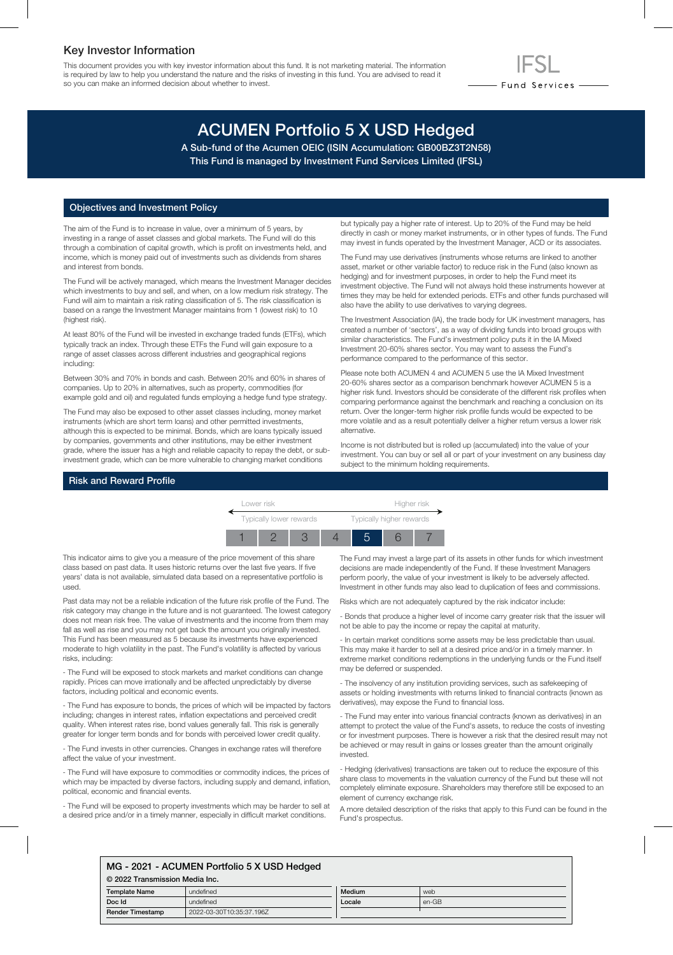### Key Investor Information

This document provides you with key investor information about this fund. It is not marketing material. The information is required by law to help you understand the nature and the risks of investing in this fund. You are advised to read it so you can make an informed decision about whether to invest.

# - Fund Services -

## ACUMEN Portfolio 5 X USD Hedged

A Sub-fund of the Acumen OEIC (ISIN Accumulation: GB00BZ3T2N58) This Fund is managed by Investment Fund Services Limited (IFSL)

#### Objectives and Investment Policy

The aim of the Fund is to increase in value, over a minimum of 5 years, by investing in a range of asset classes and global markets. The Fund will do this through a combination of capital growth, which is profit on investments held, and income, which is money paid out of investments such as dividends from shares and interest from bonds.

The Fund will be actively managed, which means the Investment Manager decides which investments to buy and sell, and when, on a low medium risk strategy. The Fund will aim to maintain a risk rating classification of 5. The risk classification is based on a range the Investment Manager maintains from 1 (lowest risk) to 10 (highest risk).

At least 80% of the Fund will be invested in exchange traded funds (ETFs), which typically track an index. Through these ETFs the Fund will gain exposure to a range of asset classes across different industries and geographical regions including:

Between 30% and 70% in bonds and cash. Between 20% and 60% in shares of companies. Up to 20% in alternatives, such as property, commodities (for example gold and oil) and regulated funds employing a hedge fund type strategy.

The Fund may also be exposed to other asset classes including, money market instruments (which are short term loans) and other permitted investments, although this is expected to be minimal. Bonds, which are loans typically issued by companies, governments and other institutions, may be either investment grade, where the issuer has a high and reliable capacity to repay the debt, or subinvestment grade, which can be more vulnerable to changing market conditions

but typically pay a higher rate of interest. Up to 20% of the Fund may be held directly in cash or money market instruments, or in other types of funds. The Fund may invest in funds operated by the Investment Manager, ACD or its associates.

The Fund may use derivatives (instruments whose returns are linked to another asset, market or other variable factor) to reduce risk in the Fund (also known as hedging) and for investment purposes, in order to help the Fund meet its investment objective. The Fund will not always hold these instruments however at times they may be held for extended periods. ETFs and other funds purchased will also have the ability to use derivatives to varying degrees.

The Investment Association (IA), the trade body for UK investment managers, has created a number of 'sectors', as a way of dividing funds into broad groups with similar characteristics. The Fund's investment policy puts it in the IA Mixed Investment 20-60% shares sector. You may want to assess the Fund's performance compared to the performance of this sector.

Please note both ACUMEN 4 and ACUMEN 5 use the IA Mixed Investment 20-60% shares sector as a comparison benchmark however ACUMEN 5 is a higher risk fund. Investors should be considerate of the different risk profiles when comparing performance against the benchmark and reaching a conclusion on its return. Over the longer-term higher risk profile funds would be expected to be more volatile and as a result potentially deliver a higher return versus a lower risk alternative.

Income is not distributed but is rolled up (accumulated) into the value of your investment. You can buy or sell all or part of your investment on any business day subject to the minimum holding requirements.

#### Risk and Reward Profile

| Lower risk              |  |  |  | Higher risk              |  |  |
|-------------------------|--|--|--|--------------------------|--|--|
| Typically lower rewards |  |  |  | Typically higher rewards |  |  |
|                         |  |  |  |                          |  |  |

This indicator aims to give you a measure of the price movement of this share class based on past data. It uses historic returns over the last five years. If five years' data is not available, simulated data based on a representative portfolio is used.

Past data may not be a reliable indication of the future risk profile of the Fund. The risk category may change in the future and is not guaranteed. The lowest category does not mean risk free. The value of investments and the income from them may fall as well as rise and you may not get back the amount you originally invested. This Fund has been measured as 5 because its investments have experienced moderate to high volatility in the past. The Fund's volatility is affected by various risks, including:

- The Fund will be exposed to stock markets and market conditions can change rapidly. Prices can move irrationally and be affected unpredictably by diverse factors, including political and economic events.

- The Fund has exposure to bonds, the prices of which will be impacted by factors including; changes in interest rates, inflation expectations and perceived credit quality. When interest rates rise, bond values generally fall. This risk is generally greater for longer term bonds and for bonds with perceived lower credit quality.

- The Fund invests in other currencies. Changes in exchange rates will therefore affect the value of your investment.

- The Fund will have exposure to commodities or commodity indices, the prices of which may be impacted by diverse factors, including supply and demand, inflation, political, economic and financial events.

- The Fund will be exposed to property investments which may be harder to sell at a desired price and/or in a timely manner, especially in difficult market conditions.

The Fund may invest a large part of its assets in other funds for which investment decisions are made independently of the Fund. If these Investment Managers perform poorly, the value of your investment is likely to be adversely affected. Investment in other funds may also lead to duplication of fees and commissions.

Risks which are not adequately captured by the risk indicator include:

- Bonds that produce a higher level of income carry greater risk that the issuer will not be able to pay the income or repay the capital at maturity.

- In certain market conditions some assets may be less predictable than usual. This may make it harder to sell at a desired price and/or in a timely manner. In extreme market conditions redemptions in the underlying funds or the Fund itself may be deferred or suspended.

- The insolvency of any institution providing services, such as safekeeping of assets or holding investments with returns linked to financial contracts (known as derivatives), may expose the Fund to financial loss.

- The Fund may enter into various financial contracts (known as derivatives) in an attempt to protect the value of the Fund's assets, to reduce the costs of investing or for investment purposes. There is however a risk that the desired result may not be achieved or may result in gains or losses greater than the amount originally invested.

- Hedging (derivatives) transactions are taken out to reduce the exposure of this share class to movements in the valuation currency of the Fund but these will not completely eliminate exposure. Shareholders may therefore still be exposed to an element of currency exchange risk.

A more detailed description of the risks that apply to this Fund can be found in the Fund's prospectus.